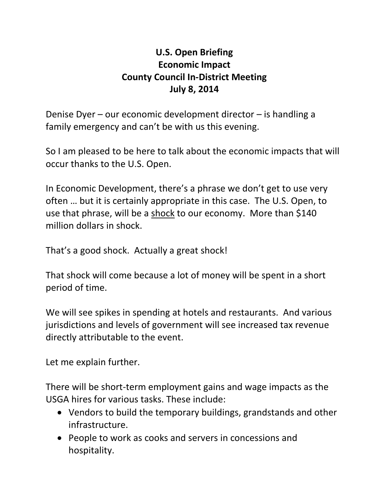## **U.S. Open Briefing Economic Impact County Council In-District Meeting July 8, 2014**

Denise Dyer – our economic development director – is handling a family emergency and can't be with us this evening.

So I am pleased to be here to talk about the economic impacts that will occur thanks to the U.S. Open.

In Economic Development, there's a phrase we don't get to use very often … but it is certainly appropriate in this case. The U.S. Open, to use that phrase, will be a shock to our economy. More than \$140 million dollars in shock.

That's a good shock. Actually a great shock!

That shock will come because a lot of money will be spent in a short period of time.

We will see spikes in spending at hotels and restaurants. And various jurisdictions and levels of government will see increased tax revenue directly attributable to the event.

Let me explain further.

There will be short-term employment gains and wage impacts as the USGA hires for various tasks. These include:

- Vendors to build the temporary buildings, grandstands and other infrastructure.
- People to work as cooks and servers in concessions and hospitality.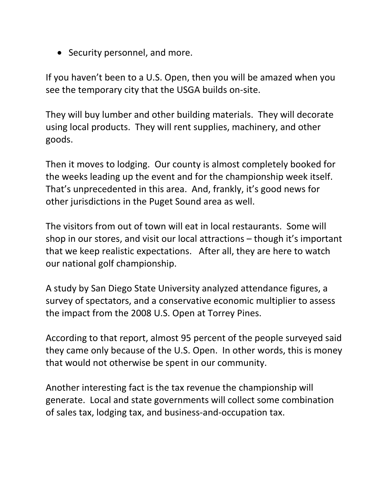• Security personnel, and more.

If you haven't been to a U.S. Open, then you will be amazed when you see the temporary city that the USGA builds on-site.

They will buy lumber and other building materials. They will decorate using local products. They will rent supplies, machinery, and other goods.

Then it moves to lodging. Our county is almost completely booked for the weeks leading up the event and for the championship week itself. That's unprecedented in this area. And, frankly, it's good news for other jurisdictions in the Puget Sound area as well.

The visitors from out of town will eat in local restaurants. Some will shop in our stores, and visit our local attractions – though it's important that we keep realistic expectations. After all, they are here to watch our national golf championship.

A study by San Diego State University analyzed attendance figures, a survey of spectators, and a conservative economic multiplier to assess the impact from the 2008 U.S. Open at Torrey Pines.

According to that report, almost 95 percent of the people surveyed said they came only because of the U.S. Open. In other words, this is money that would not otherwise be spent in our community.

Another interesting fact is the tax revenue the championship will generate. Local and state governments will collect some combination of sales tax, lodging tax, and business-and-occupation tax.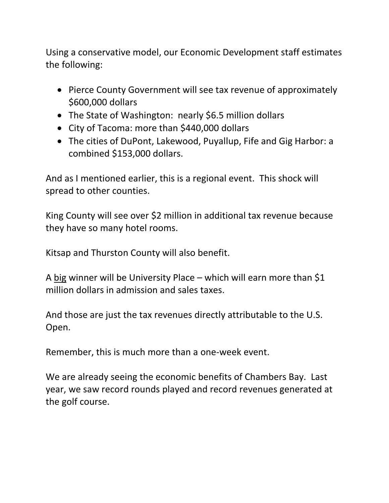Using a conservative model, our Economic Development staff estimates the following:

- Pierce County Government will see tax revenue of approximately \$600,000 dollars
- The State of Washington: nearly \$6.5 million dollars
- City of Tacoma: more than \$440,000 dollars
- The cities of DuPont, Lakewood, Puyallup, Fife and Gig Harbor: a combined \$153,000 dollars.

And as I mentioned earlier, this is a regional event. This shock will spread to other counties.

King County will see over \$2 million in additional tax revenue because they have so many hotel rooms.

Kitsap and Thurston County will also benefit.

A big winner will be University Place – which will earn more than \$1 million dollars in admission and sales taxes.

And those are just the tax revenues directly attributable to the U.S. Open.

Remember, this is much more than a one-week event.

We are already seeing the economic benefits of Chambers Bay. Last year, we saw record rounds played and record revenues generated at the golf course.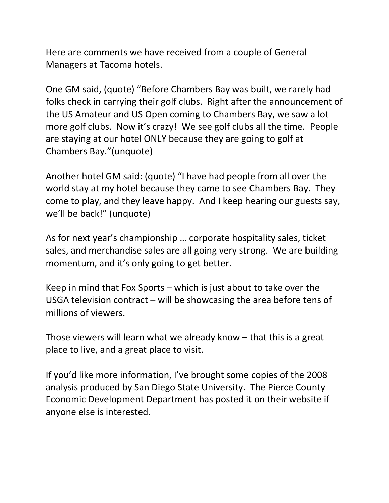Here are comments we have received from a couple of General Managers at Tacoma hotels.

One GM said, (quote) "Before Chambers Bay was built, we rarely had folks check in carrying their golf clubs. Right after the announcement of the US Amateur and US Open coming to Chambers Bay, we saw a lot more golf clubs. Now it's crazy! We see golf clubs all the time. People are staying at our hotel ONLY because they are going to golf at Chambers Bay."(unquote)

Another hotel GM said: (quote) "I have had people from all over the world stay at my hotel because they came to see Chambers Bay. They come to play, and they leave happy. And I keep hearing our guests say, we'll be back!" (unquote)

As for next year's championship … corporate hospitality sales, ticket sales, and merchandise sales are all going very strong. We are building momentum, and it's only going to get better.

Keep in mind that Fox Sports – which is just about to take over the USGA television contract – will be showcasing the area before tens of millions of viewers.

Those viewers will learn what we already know – that this is a great place to live, and a great place to visit.

If you'd like more information, I've brought some copies of the 2008 analysis produced by San Diego State University. The Pierce County Economic Development Department has posted it on their website if anyone else is interested.